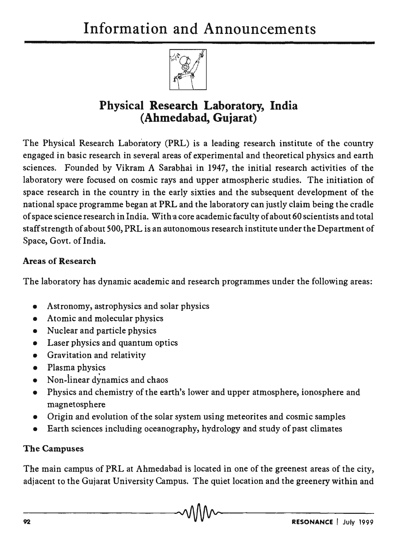

# Physical Research Laboratory, India (Ahmedabad, Gujarat)

The Physical Research Laboratory (PRL) is a leading research institute of the country engaged in basic research in several areas of experimental and theoretical physics and earth sciences. Founded by Vikram A Sarabhai in 1947, the initial research activities of the laboratory were focused on cosmic rays and upper atmospheric studies. The initiation of space research in the country in the early sixties and the subsequent development of the national space programme began at PRL and the laboratory can justly claim being the cradle of space science research in India. With a core academic faculty of about 60 scientists and total staff strength of about 500, PRL is an autonomous research institute under the Department of Space, Govt. of India.

## Areas of Research

The laboratory has dynamic academic and research programmes under the following areas:

- Astronomy, astrophysics and solar physics
- Atomic and molecular physics
- Nuclear and particle physics
- Laser physics and quantum optics
- Gravitation and relativity
- Plasma physics
- Non-linear dynamics and chaos
- Physics and chemistry of the earth's lower and upper atmosphere, ionosphere and magnetosphere
- Origin and evolution of the solar system using meteorites and cosmic samples
- Earth sciences including oceanography, hydrology and study of past climates

#### The Campuses

The main campus of PRL at Ahmedabad is located in one of the greenest areas of the city, adjacent to the Gujarat University Campus. The quiet location and the greenery within and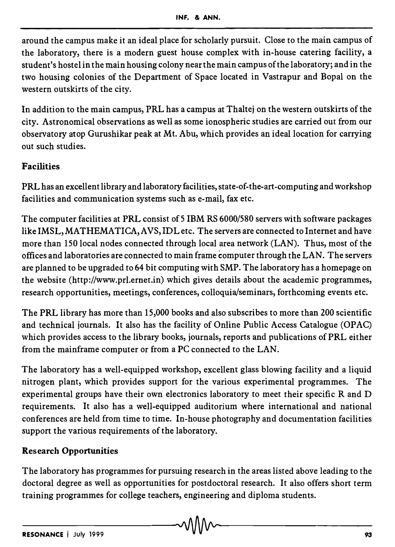around the campus make it an ideal place for scholarly pursuit. Close to the main campus of the laboratory, there is a modern guest house complex with in-house catering facility, a student's hostel in the main housing colony near the main campus of the laboratory; and in the two housing colonies of the Department of Space located in Vastrapur and Bopal on the western outskirts of the city.

In addition to the main campus, PRL has a campus at Thaltej on the western outskirts of the city. Astronomical observations as well as some ionospheric studies are carried out from our observatory atop Gurushikar peak at Mt. Abu, which provides an ideal location for carrying out such studies.

### Facilities

PRL has an excellent library and laboratory facilities, state-of-the-art-computing and workshop facilities and communication systems such as e-mail, fax etc.

The computer facilities at PRL consist of 5 IBM RS 6000/580 servers with software packages like IMSL, MATHEMATICA, AVS, IDL etc. The servers are connected to Internet and have more than 150 local nodes connected through local area network (LAN). Thus, most of the offices and laboratories are connected to main frame computer through the LAN. The servers are planned to be upgraded to 64 bit computing with SMP. The laboratory has a homepage on the website (http://www.prl.ernet.in) which gives details about the academic programmes, research opportunities, meetings, conferences, colloquia/seminars, forthcoming events etc.

The PRL library has more than 15,000 books and also subscribes to more than 200 scientific and technical journals. It also has the facility of Online Public Access Catalogue (OPAC) which provides access to the library books, journals, reports and publications of PRL either from the mainframe computer or from a PC connected to the LAN.

The laboratory has a well-equipped workshop, excellent glass blowing facility and a liquid nitrogen plant, which provides support for the. various experimental programmes. The experimental groups have their own electronics laboratory to meet their specific  $R$  and  $D$ requirements. It also has a well-equipped auditorium where international and national conferences are held from time to time. In-house photography and documentation facilities support the various requirements of the laboratory.

#### Research Opportunities

The laboratory has programmes for pursuing research in the areas listed above leading to the doctoral degree as well as opportunities for postdoctoral research. It also offers short term training programmes for college teachers, engineering and diploma students.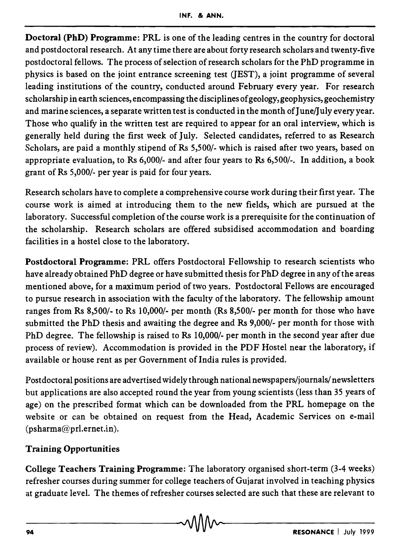Doctoral (PhD) Programme: PRL is one of the leading centres in the country for doctoral and postdoctoral research. At any time there are about forty research scholars and twenty-five postdoctoral fellows. The process of selection of research scholars for the PhD programme in physics is based on the joint entrance screening test (JEST), a joint programme of several leading institutions of the country, conducted around February every year. For research scholarship in earth sciences, encompassing the disciplines of geology, geophysics, geochemistry and marine sciences, a separate written test is conducted in the month of June/July every year. Those who qualify in the written test are required to appear for an oral interview, which is generally held during the first week of July. Selected candidates, referred to as Research Scholars, are paid a monthly stipend of Rs 5,500/- which is raised after two years, based on appropriate evaluation, to Rs 6,000/- and after four years to Rs 6,500/-. In addition, a book grant of Rs 5,000/- per year is paid for four years.

Research scholars have to complete a comprehensive course work during their first year. The course work is aimed at introducing them to the new fields, which are pursued at the laboratory. Successful completion of the course work is a prerequisite for the continuation of the scholarship. Research scholars are offered subsidised accommodation and boarding facilities in a hostel close to the laboratory.

Postdoctoral Programme: PRL offers Postdoctoral Fellowship to research scientists who have already obtained PhD degree or have submitted thesis for PhD degree in any of the areas mentioned above, for a maximum period of two years. Postdoctoral Fellows are encouraged to pursue research in association with the faculty of the laboratory. The fellowship amount ranges from Rs 8,500/- to Rs 10,000/- per month (Rs 8,500/- per month for those who have submitted the PhD thesis and awaiting the degree and Rs 9,000/- per month for those with PhD degree. The fellowship is raised to Rs 10,000/- per month in the second year after due process of review). Accommodation is provided in the PDF Hostel near the laboratory, if available or house rent as per Government of India rules is provided.

Postdoctoral positions are advertised widely through national newspapers/journals/ newsletters but applications are also accepted round the year from young scientists (less than 35 years of age) on the prescribed format which can be downloaded from the PRL homepage on the website or can be obtained on request from the Head, Academic Services on e-mail (psharma@prl.ernet.in).

## Training Opportunities

College Teachers Training Programme: The laboratory organised short-term (3-4 weeks) refresher courses during summer for college teachers of Gujarat involved in teaching physics at graduate level. The themes of refresher courses selected are such that these are relevant to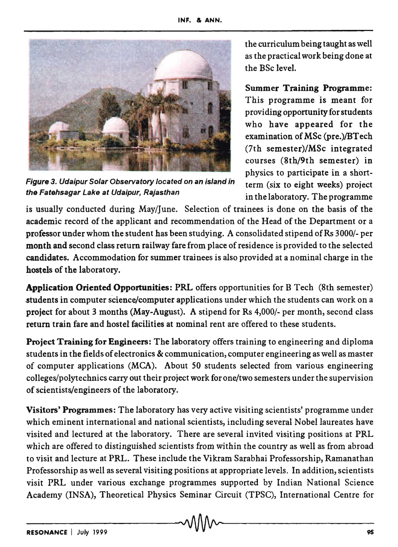

Figure 3. Udaipur Solar Observatory located on an island in term (six to eight weeks) project the Fatehsagar Lake at Udaipur, Rajasthan in the laboratory. The programme

the curriculum being taught as well as the practical work being done at the BSc level.

Summer Training Programme: This programme is meant for providing opportunity for students who have appeared for the examination of MSc (pre.)/BTech (7th semester)/MSc integrated courses (8th/9th semester) in physics to participate in a short-

is usually conducted during May/June. Selection of trainees is done on the basis of the academic record of the applicant and recommendation of the Head of the Department or a professor under whom the student has been studying. A consolidated stipend of Rs 3000/- per month and second class return railway fare from place of residence is provided to the selected candidates. Accommodation for summer trainees is also provided at a nominal charge in the hostels of the laboratory.

Application Oriented Opportunities: PRL offers opportunities for B Tech (8th semester) -students in computer science/computer applications under which the students can work on a project for about 3 months (May-August). A stipend for Rs 4,000/- per month, second class return train fare and hostel facilities at nominal rent are offered to these students.

Project Training for Engineers: The laboratory offers training to engineering and diploma students in the fields of electronics & communication, computer engineering as well as master of computer applications (MCA). About 50 students selected from various engineering colleges/polytechnics carry out their project work for one/two semesters under the supervision of scientists/engineers of the laboratory.

Visitors' Programmes: The laboratory has very active visiting scientists' programme under which eminent international and national scientists, including several Nobel laureates have visited and lectured at the laboratory. There are several invited visiting positions at PRL which are offered to distinguished scientists from within the country as well as from abroad to visit and lecture at PRL. These include the Vikram Sarabhai Professorship, Ramanathan Professorship as well as several visiting positions at appropriate levels. In addition, scientists visit PRL under various exchange programmes supported by Indian National Science Academy (INSA), Theoretical Physics Seminar Circuit (TPSC), International Centre for